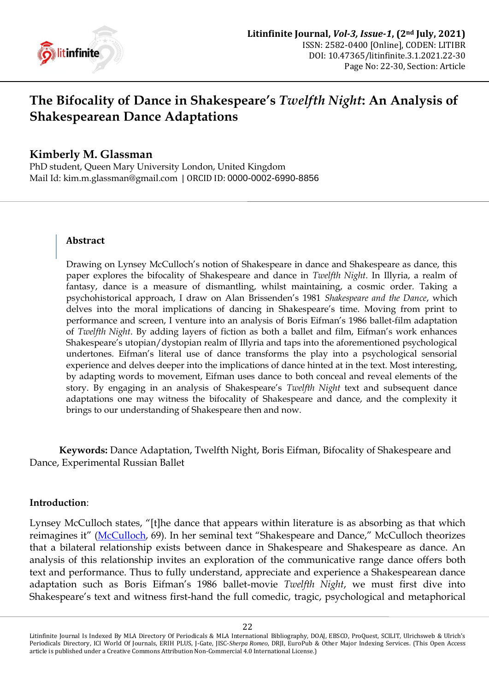

# **The Bifocality of Dance in Shakespeare's** *Twelfth Night***: An Analysis of Shakespearean Dance Adaptations**

## **Kimberly M. Glassman**

PhD student, Queen Mary University London, United Kingdom Mail Id: [kim.m.glassman@gmail.com](mailto:kim.m.glassman@gmail.com) | ORCID ID: [0000-0002-6990-8856](https://orcid.org/0000-0002-6990-8856)

#### **Abstract**

Drawing on Lynsey McCulloch"s notion of Shakespeare in dance and Shakespeare as dance, this paper explores the bifocality of Shakespeare and dance in *Twelfth Night*. In Illyria, a realm of fantasy, dance is a measure of dismantling, whilst maintaining, a cosmic order. Taking a psychohistorical approach, I draw on Alan Brissenden"s 1981 *Shakespeare and the Dance*, which delves into the moral implications of dancing in Shakespeare's time. Moving from print to performance and screen, I venture into an analysis of Boris Eifman"s 1986 ballet-film adaptation of *Twelfth Night*. By adding layers of fiction as both a ballet and film, Eifman"s work enhances Shakespeare"s utopian/dystopian realm of Illyria and taps into the aforementioned psychological undertones. Eifman"s literal use of dance transforms the play into a psychological sensorial experience and delves deeper into the implications of dance hinted at in the text. Most interesting, by adapting words to movement, Eifman uses dance to both conceal and reveal elements of the story. By engaging in an analysis of Shakespeare"s *Twelfth Night* text and subsequent dance adaptations one may witness the bifocality of Shakespeare and dance, and the complexity it brings to our understanding of Shakespeare then and now.

**Keywords:** Dance Adaptation, Twelfth Night, Boris Eifman, Bifocality of Shakespeare and Dance, Experimental Russian Ballet

#### **Introduction**:

Lynsey McCulloch states, "[t]he dance that appears within literature is as absorbing as that which reimagines it" ([McCulloch](#page-7-0), 69). In her seminal text "Shakespeare and Dance," McCulloch theorizes that a bilateral relationship exists between dance in Shakespeare and Shakespeare as dance. An analysis of this relationship invites an exploration of the communicative range dance offers both text and performance. Thus to fully understand, appreciate and experience a Shakespearean dance adaptation such as Boris Eifman"s 1986 ballet-movie *Twelfth Night*, we must first dive into Shakespeare's text and witness first-hand the full comedic, tragic, psychological and metaphorical

Litinfinite Journal Is Indexed By MLA Directory Of Periodicals & MLA International Bibliography, DOAJ, EBSCO, ProQuest, SCILIT, Ulrichsweb & Ulrich's Periodicals Directory, ICI World Of Journals, ERIH PLUS, J-Gate, JISC-*Sherpa Romeo*, DRJI, EuroPub & Other Major Indexing Services. (This Open Access article is published under a Creative Commons Attribution Non-Commercial 4.0 International License.)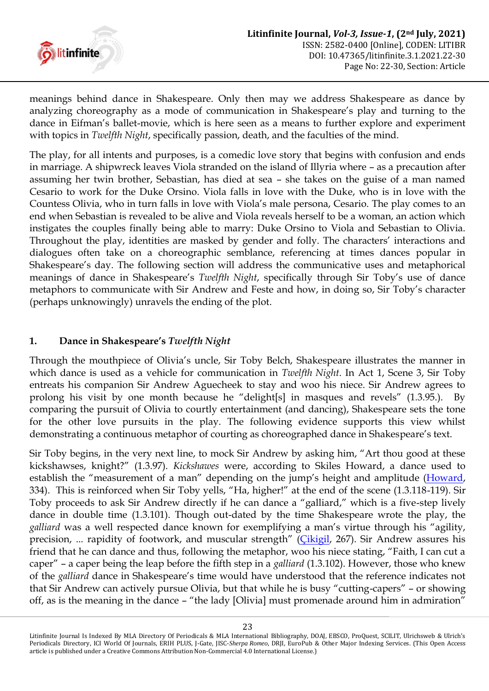

meanings behind dance in Shakespeare. Only then may we address Shakespeare as dance by analyzing choreography as a mode of communication in Shakespeare's play and turning to the dance in Eifman"s ballet-movie, which is here seen as a means to further explore and experiment with topics in *Twelfth Night*, specifically passion, death, and the faculties of the mind.

The play, for all intents and purposes, is a comedic love story that begins with confusion and ends in marriage. A shipwreck leaves Viola stranded on the island of Illyria where – as a precaution after assuming her twin brother, Sebastian, has died at sea – she takes on the guise of a man named Cesario to work for the Duke Orsino. Viola falls in love with the Duke, who is in love with the Countess Olivia, who in turn falls in love with Viola"s male persona, Cesario. The play comes to an end when Sebastian is revealed to be alive and Viola reveals herself to be a woman, an action which instigates the couples finally being able to marry: Duke Orsino to Viola and Sebastian to Olivia. Throughout the play, identities are masked by gender and folly. The characters' interactions and dialogues often take on a choreographic semblance, referencing at times dances popular in Shakespeare's day. The following section will address the communicative uses and metaphorical meanings of dance in Shakespeare"s *Twelfth Night*, specifically through Sir Toby"s use of dance metaphors to communicate with Sir Andrew and Feste and how, in doing so, Sir Toby"s character (perhaps unknowingly) unravels the ending of the plot.

## **1. Dance in Shakespeare's** *Twelfth Night*

Through the mouthpiece of Olivia"s uncle, Sir Toby Belch, Shakespeare illustrates the manner in which dance is used as a vehicle for communication in *Twelfth Night*. In Act 1, Scene 3, Sir Toby entreats his companion Sir Andrew Aguecheek to stay and woo his niece. Sir Andrew agrees to prolong his visit by one month because he "delight[s] in masques and revels" (1.3.95.). By comparing the pursuit of Olivia to courtly entertainment (and dancing), Shakespeare sets the tone for the other love pursuits in the play. The following evidence supports this view whilst demonstrating a continuous metaphor of courting as choreographed dance in Shakespeare's text.

Sir Toby begins, in the very next line, to mock Sir Andrew by asking him, "Art thou good at these kickshawses, knight?" (1.3.97). *Kickshawes* were, according to Skiles Howard, a dance used to establish the "measurement of a man" depending on the jump's height and amplitude ([Howard,](#page-7-1) 334). This is reinforced when Sir Toby yells, "Ha, higher!" at the end of the scene (1.3.118-119). Sir Toby proceeds to ask Sir Andrew directly if he can dance a "galliard," which is a five-step lively dance in double time (1.3.101). Though out-dated by the time Shakespeare wrote the play, the *galliard* was a well respected dance known for exemplifying a man"s virtue through his "agility, precision, ... rapidity of footwork, and muscular strength" (Cikigil, 267). Sir Andrew assures his friend that he can dance and thus, following the metaphor, woo his niece stating, "Faith, I can cut a caper" – a caper being the leap before the fifth step in a *galliard* (1.3.102). However, those who knew of the *galliard* dance in Shakespeare"s time would have understood that the reference indicates not that Sir Andrew can actively pursue Olivia, but that while he is busy "cutting-capers" – or showing off, as is the meaning in the dance – "the lady [Olivia] must promenade around him in admiration"

Litinfinite Journal Is Indexed By MLA Directory Of Periodicals & MLA International Bibliography, DOAJ, EBSCO, ProQuest, SCILIT, Ulrichsweb & Ulrich's Periodicals Directory, ICI World Of Journals, ERIH PLUS, J-Gate, JISC-*Sherpa Romeo*, DRJI, EuroPub & Other Major Indexing Services. (This Open Access article is published under a Creative Commons Attribution Non-Commercial 4.0 International License.)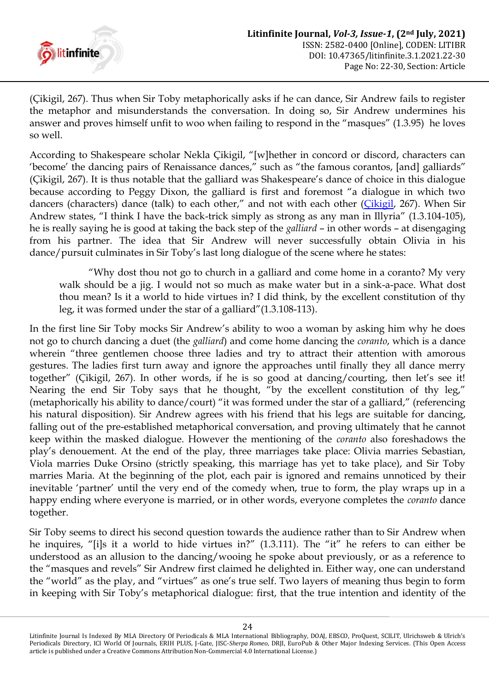

(Çikigil, 267). Thus when Sir Toby metaphorically asks if he can dance, Sir Andrew fails to register the metaphor and misunderstands the conversation. In doing so, Sir Andrew undermines his answer and proves himself unfit to woo when failing to respond in the "masques" (1.3.95) he loves so well.

According to Shakespeare scholar Nekla Çikigil, "[w]hether in concord or discord, characters can "become" the dancing pairs of Renaissance dances," such as "the famous corantos, [and] galliards" (Çikigil, 267). It is thus notable that the galliard was Shakespeare"s dance of choice in this dialogue because according to Peggy Dixon, the galliard is first and foremost "a dialogue in which two dancers (characters) dance (talk) to each other," and not with each other ([Çikigil,](#page-2-0) 267). When Sir Andrew states, "I think I have the back-trick simply as strong as any man in Illyria" (1.3.104-105), he is really saying he is good at taking the back step of the *galliard* – in other words – at disengaging from his partner. The idea that Sir Andrew will never successfully obtain Olivia in his dance/pursuit culminates in Sir Toby"s last long dialogue of the scene where he states:

"Why dost thou not go to church in a galliard and come home in a coranto? My very walk should be a jig. I would not so much as make water but in a sink-a-pace. What dost thou mean? Is it a world to hide virtues in? I did think, by the excellent constitution of thy leg, it was formed under the star of a galliard"(1.3.108-113).

<span id="page-2-0"></span>In the first line Sir Toby mocks Sir Andrew"s ability to woo a woman by asking him why he does not go to church dancing a duet (the *galliard*) and come home dancing the *coranto*, which is a dance wherein "three gentlemen choose three ladies and try to attract their attention with amorous gestures. The ladies first turn away and ignore the approaches until finally they all dance merry together" (Çikigil, 267). In other words, if he is so good at dancing/courting, then let's see it! Nearing the end Sir Toby says that he thought, "by the excellent constitution of thy leg," (metaphorically his ability to dance/court) "it was formed under the star of a galliard," (referencing his natural disposition). Sir Andrew agrees with his friend that his legs are suitable for dancing, falling out of the pre-established metaphorical conversation, and proving ultimately that he cannot keep within the masked dialogue. However the mentioning of the *coranto* also foreshadows the play"s denouement. At the end of the play, three marriages take place: Olivia marries Sebastian, Viola marries Duke Orsino (strictly speaking, this marriage has yet to take place), and Sir Toby marries Maria. At the beginning of the plot, each pair is ignored and remains unnoticed by their inevitable "partner" until the very end of the comedy when, true to form, the play wraps up in a happy ending where everyone is married, or in other words, everyone completes the *coranto* dance together.

Sir Toby seems to direct his second question towards the audience rather than to Sir Andrew when he inquires, "[i]s it a world to hide virtues in?" (1.3.111). The "it" he refers to can either be understood as an allusion to the dancing/wooing he spoke about previously, or as a reference to the "masques and revels" Sir Andrew first claimed he delighted in. Either way, one can understand the "world" as the play, and "virtues" as one's true self. Two layers of meaning thus begin to form in keeping with Sir Toby"s metaphorical dialogue: first, that the true intention and identity of the

Litinfinite Journal Is Indexed By MLA Directory Of Periodicals & MLA International Bibliography, DOAJ, EBSCO, ProQuest, SCILIT, Ulrichsweb & Ulrich's Periodicals Directory, ICI World Of Journals, ERIH PLUS, J-Gate, JISC-*Sherpa Romeo*, DRJI, EuroPub & Other Major Indexing Services. (This Open Access article is published under a Creative Commons Attribution Non-Commercial 4.0 International License.)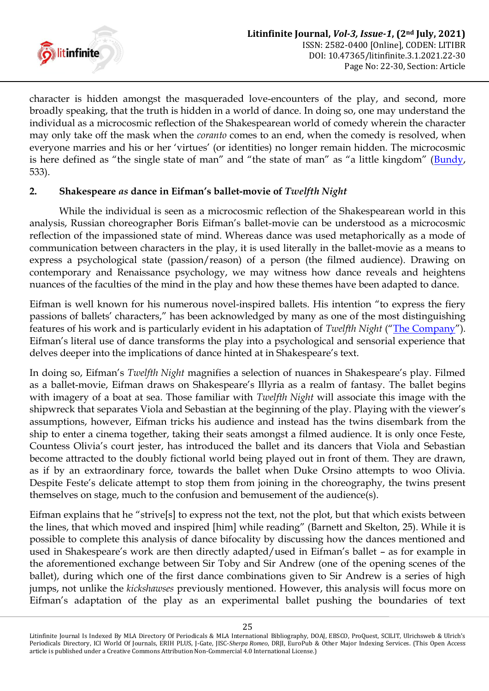

character is hidden amongst the masqueraded love-encounters of the play, and second, more broadly speaking, that the truth is hidden in a world of dance. In doing so, one may understand the individual as a microcosmic reflection of the Shakespearean world of comedy wherein the character may only take off the mask when the *coranto* comes to an end, when the comedy is resolved, when everyone marries and his or her "virtues" (or identities) no longer remain hidden. The microcosmic is here defined as "the single state of man" and "the state of man" as "a little kingdom" ([Bundy,](#page-7-2) 533).

## **2. Shakespeare** *as* **dance in Eifman's ballet-movie of** *Twelfth Night*

While the individual is seen as a microcosmic reflection of the Shakespearean world in this analysis, Russian choreographer Boris Eifman"s ballet-movie can be understood as a microcosmic reflection of the impassioned state of mind. Whereas dance was used metaphorically as a mode of communication between characters in the play, it is used literally in the ballet-movie as a means to express a psychological state (passion/reason) of a person (the filmed audience). Drawing on contemporary and Renaissance psychology, we may witness how dance reveals and heightens nuances of the faculties of the mind in the play and how these themes have been adapted to dance.

Eifman is well known for his numerous novel-inspired ballets. His intention "to express the fiery passions of ballets" characters," has been acknowledged by many as one of the most distinguishing features of his work and is particularly evident in his adaptation of *Twelfth Night* ("[The Company](#page-7-3)"). Eifman"s literal use of dance transforms the play into a psychological and sensorial experience that delves deeper into the implications of dance hinted at in Shakespeare's text.

In doing so, Eifman's *Twelfth Night* magnifies a selection of nuances in Shakespeare's play. Filmed as a ballet-movie, Eifman draws on Shakespeare"s Illyria as a realm of fantasy. The ballet begins with imagery of a boat at sea. Those familiar with *Twelfth Night* will associate this image with the shipwreck that separates Viola and Sebastian at the beginning of the play. Playing with the viewer"s assumptions, however, Eifman tricks his audience and instead has the twins disembark from the ship to enter a cinema together, taking their seats amongst a filmed audience. It is only once Feste, Countess Olivia"s court jester, has introduced the ballet and its dancers that Viola and Sebastian become attracted to the doubly fictional world being played out in front of them. They are drawn, as if by an extraordinary force, towards the ballet when Duke Orsino attempts to woo Olivia. Despite Feste"s delicate attempt to stop them from joining in the choreography, the twins present themselves on stage, much to the confusion and bemusement of the audience(s).

Eifman explains that he "strive[s] to express not the text, not the plot, but that which exists between the lines, that which moved and inspired [him] while reading" (Barnett and Skelton, 25). While it is possible to complete this analysis of dance bifocality by discussing how the dances mentioned and used in Shakespeare's work are then directly adapted/used in Eifman's ballet - as for example in the aforementioned exchange between Sir Toby and Sir Andrew (one of the opening scenes of the ballet), during which one of the first dance combinations given to Sir Andrew is a series of high jumps, not unlike the *kickshawses* previously mentioned. However, this analysis will focus more on Eifman"s adaptation of the play as an experimental ballet pushing the boundaries of text

Litinfinite Journal Is Indexed By MLA Directory Of Periodicals & MLA International Bibliography, DOAJ, EBSCO, ProQuest, SCILIT, Ulrichsweb & Ulrich's Periodicals Directory, ICI World Of Journals, ERIH PLUS, J-Gate, JISC-*Sherpa Romeo*, DRJI, EuroPub & Other Major Indexing Services. (This Open Access article is published under a Creative Commons Attribution Non-Commercial 4.0 International License.)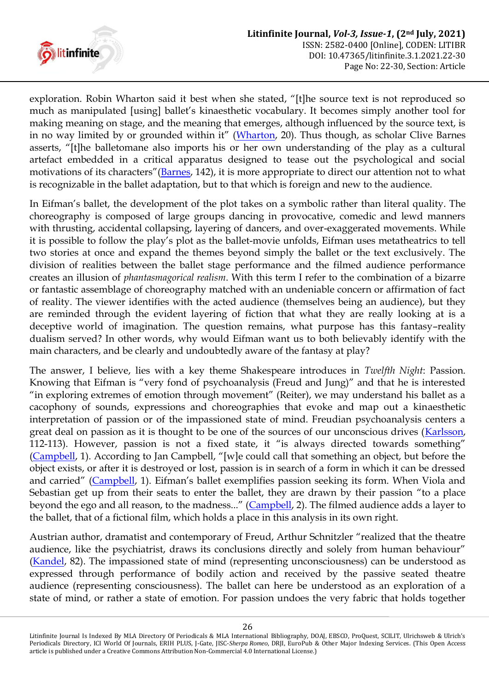

exploration. Robin Wharton said it best when she stated, "[t]he source text is not reproduced so much as manipulated [using] ballet's kinaesthetic vocabulary. It becomes simply another tool for making meaning on stage, and the meaning that emerges, although influenced by the source text, is in no way limited by or grounded within it" ([Wharton,](#page-7-4) 20). Thus though, as scholar Clive Barnes asserts, "[t]he balletomane also imports his or her own understanding of the play as a cultural artefact embedded in a critical apparatus designed to tease out the psychological and social motivations of its characters"([Barnes,](#page-7-5) 142), it is more appropriate to direct our attention not to what is recognizable in the ballet adaptation, but to that which is foreign and new to the audience.

In Eifman's ballet, the development of the plot takes on a symbolic rather than literal quality. The choreography is composed of large groups dancing in provocative, comedic and lewd manners with thrusting, accidental collapsing, layering of dancers, and over-exaggerated movements. While it is possible to follow the play"s plot as the ballet-movie unfolds, Eifman uses metatheatrics to tell two stories at once and expand the themes beyond simply the ballet or the text exclusively. The division of realities between the ballet stage performance and the filmed audience performance creates an illusion of *phantasmagorical realism*. With this term I refer to the combination of a bizarre or fantastic assemblage of choreography matched with an undeniable concern or affirmation of fact of reality. The viewer identifies with the acted audience (themselves being an audience), but they are reminded through the evident layering of fiction that what they are really looking at is a deceptive world of imagination. The question remains, what purpose has this fantasy–reality dualism served? In other words, why would Eifman want us to both believably identify with the main characters, and be clearly and undoubtedly aware of the fantasy at play?

The answer, I believe, lies with a key theme Shakespeare introduces in *Twelfth Night*: Passion. Knowing that Eifman is "very fond of psychoanalysis (Freud and Jung)" and that he is interested "in exploring extremes of emotion through movement" (Reiter), we may understand his ballet as a cacophony of sounds, expressions and choreographies that evoke and map out a kinaesthetic interpretation of passion or of the impassioned state of mind. Freudian psychoanalysis centers a great deal on passion as it is thought to be one of the sources of our unconscious drives [\(Karlsson,](#page-7-6) 112-113). However, passion is not a fixed state, it "is always directed towards something" [\(Campbell](#page-7-7), 1). According to Jan Campbell, "[w]e could call that something an object, but before the object exists, or after it is destroyed or lost, passion is in search of a form in which it can be dressed and carried" ([Campbell](#page-7-7), 1). Eifman"s ballet exemplifies passion seeking its form. When Viola and Sebastian get up from their seats to enter the ballet, they are drawn by their passion "to a place beyond the ego and all reason, to the madness..." ([Campbell,](#page-7-7) 2). The filmed audience adds a layer to the ballet, that of a fictional film, which holds a place in this analysis in its own right.

Austrian author, dramatist and contemporary of Freud, Arthur Schnitzler "realized that the theatre audience, like the psychiatrist, draws its conclusions directly and solely from human behaviour" [\(Kandel,](#page-7-8) 82). The impassioned state of mind (representing unconsciousness) can be understood as expressed through performance of bodily action and received by the passive seated theatre audience (representing consciousness). The ballet can here be understood as an exploration of a state of mind, or rather a state of emotion. For passion undoes the very fabric that holds together

Litinfinite Journal Is Indexed By MLA Directory Of Periodicals & MLA International Bibliography, DOAJ, EBSCO, ProQuest, SCILIT, Ulrichsweb & Ulrich's Periodicals Directory, ICI World Of Journals, ERIH PLUS, J-Gate, JISC-*Sherpa Romeo*, DRJI, EuroPub & Other Major Indexing Services. (This Open Access article is published under a Creative Commons Attribution Non-Commercial 4.0 International License.)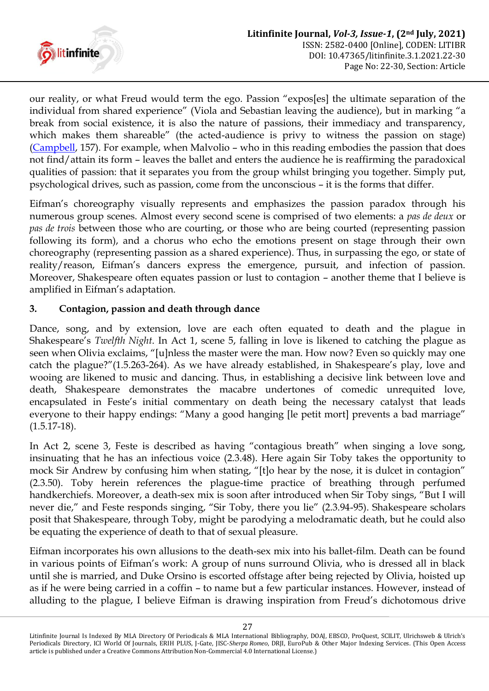

our reality, or what Freud would term the ego. Passion "expos[es] the ultimate separation of the individual from shared experience" (Viola and Sebastian leaving the audience), but in marking "a break from social existence, it is also the nature of passions, their immediacy and transparency, which makes them shareable" (the acted-audience is privy to witness the passion on stage) [\(Campbell,](#page-7-7) 157). For example, when Malvolio – who in this reading embodies the passion that does not find/attain its form – leaves the ballet and enters the audience he is reaffirming the paradoxical qualities of passion: that it separates you from the group whilst bringing you together. Simply put, psychological drives, such as passion, come from the unconscious – it is the forms that differ.

Eifman"s choreography visually represents and emphasizes the passion paradox through his numerous group scenes. Almost every second scene is comprised of two elements: a *pas de deux* or *pas de trois* between those who are courting, or those who are being courted (representing passion following its form), and a chorus who echo the emotions present on stage through their own choreography (representing passion as a shared experience). Thus, in surpassing the ego, or state of reality/reason, Eifman's dancers express the emergence, pursuit, and infection of passion. Moreover, Shakespeare often equates passion or lust to contagion – another theme that I believe is amplified in Eifman's adaptation.

## **3. Contagion, passion and death through dance**

Dance, song, and by extension, love are each often equated to death and the plague in Shakespeare"s *Twelfth Night*. In Act 1, scene 5, falling in love is likened to catching the plague as seen when Olivia exclaims, "[u]nless the master were the man. How now? Even so quickly may one catch the plague?"(1.5.263-264). As we have already established, in Shakespeare's play, love and wooing are likened to music and dancing. Thus, in establishing a decisive link between love and death, Shakespeare demonstrates the macabre undertones of comedic unrequited love, encapsulated in Feste"s initial commentary on death being the necessary catalyst that leads everyone to their happy endings: "Many a good hanging [le petit mort] prevents a bad marriage" (1.5.17-18).

In Act 2, scene 3, Feste is described as having "contagious breath" when singing a love song, insinuating that he has an infectious voice (2.3.48). Here again Sir Toby takes the opportunity to mock Sir Andrew by confusing him when stating, "[t]o hear by the nose, it is dulcet in contagion" (2.3.50). Toby herein references the plague-time practice of breathing through perfumed handkerchiefs. Moreover, a death-sex mix is soon after introduced when Sir Toby sings, "But I will never die," and Feste responds singing, "Sir Toby, there you lie" (2.3.94-95). Shakespeare scholars posit that Shakespeare, through Toby, might be parodying a melodramatic death, but he could also be equating the experience of death to that of sexual pleasure.

Eifman incorporates his own allusions to the death-sex mix into his ballet-film. Death can be found in various points of Eifman"s work: A group of nuns surround Olivia, who is dressed all in black until she is married, and Duke Orsino is escorted offstage after being rejected by Olivia, hoisted up as if he were being carried in a coffin – to name but a few particular instances. However, instead of alluding to the plague, I believe Eifman is drawing inspiration from Freud's dichotomous drive

Litinfinite Journal Is Indexed By MLA Directory Of Periodicals & MLA International Bibliography, DOAJ, EBSCO, ProQuest, SCILIT, Ulrichsweb & Ulrich's Periodicals Directory, ICI World Of Journals, ERIH PLUS, J-Gate, JISC-*Sherpa Romeo*, DRJI, EuroPub & Other Major Indexing Services. (This Open Access article is published under a Creative Commons Attribution Non-Commercial 4.0 International License.)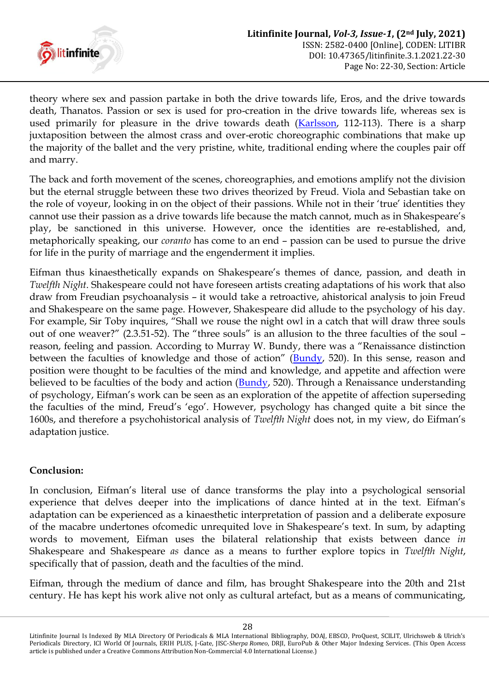

theory where sex and passion partake in both the drive towards life, Eros, and the drive towards death, Thanatos. Passion or sex is used for pro-creation in the drive towards life, whereas sex is used primarily for pleasure in the drive towards death [\(Karlsson,](#page-7-6) 112-113). There is a sharp juxtaposition between the almost crass and over-erotic choreographic combinations that make up the majority of the ballet and the very pristine, white, traditional ending where the couples pair off and marry.

The back and forth movement of the scenes, choreographies, and emotions amplify not the division but the eternal struggle between these two drives theorized by Freud. Viola and Sebastian take on the role of voyeur, looking in on the object of their passions. While not in their "true" identities they cannot use their passion as a drive towards life because the match cannot, much as in Shakespeare"s play, be sanctioned in this universe. However, once the identities are re-established, and, metaphorically speaking, our *coranto* has come to an end – passion can be used to pursue the drive for life in the purity of marriage and the engenderment it implies.

Eifman thus kinaesthetically expands on Shakespeare's themes of dance, passion, and death in *Twelfth Night*. Shakespeare could not have foreseen artists creating adaptations of his work that also draw from Freudian psychoanalysis – it would take a retroactive, ahistorical analysis to join Freud and Shakespeare on the same page. However, Shakespeare did allude to the psychology of his day. For example, Sir Toby inquires, "Shall we rouse the night owl in a catch that will draw three souls out of one weaver?" (2.3.51-52). The "three souls" is an allusion to the three faculties of the soul – reason, feeling and passion. According to Murray W. Bundy, there was a "Renaissance distinction between the faculties of knowledge and those of action" ([Bundy,](#page-7-2) 520). In this sense, reason and position were thought to be faculties of the mind and knowledge, and appetite and affection were believed to be faculties of the body and action [\(Bundy,](#page-7-2) 520). Through a Renaissance understanding of psychology, Eifman"s work can be seen as an exploration of the appetite of affection superseding the faculties of the mind, Freud"s "ego". However, psychology has changed quite a bit since the 1600s, and therefore a psychohistorical analysis of *Twelfth Night* does not, in my view, do Eifman"s adaptation justice.

## **Conclusion:**

In conclusion, Eifman's literal use of dance transforms the play into a psychological sensorial experience that delves deeper into the implications of dance hinted at in the text. Eifman"s adaptation can be experienced as a kinaesthetic interpretation of passion and a deliberate exposure of the macabre undertones ofcomedic unrequited love in Shakespeare"s text. In sum, by adapting words to movement, Eifman uses the bilateral relationship that exists between dance *in* Shakespeare and Shakespeare *as* dance as a means to further explore topics in *Twelfth Night*, specifically that of passion, death and the faculties of the mind.

Eifman, through the medium of dance and film, has brought Shakespeare into the 20th and 21st century. He has kept his work alive not only as cultural artefact, but as a means of communicating,

Litinfinite Journal Is Indexed By MLA Directory Of Periodicals & MLA International Bibliography, DOAJ, EBSCO, ProQuest, SCILIT, Ulrichsweb & Ulrich's Periodicals Directory, ICI World Of Journals, ERIH PLUS, J-Gate, JISC-*Sherpa Romeo*, DRJI, EuroPub & Other Major Indexing Services. (This Open Access article is published under a Creative Commons Attribution Non-Commercial 4.0 International License.)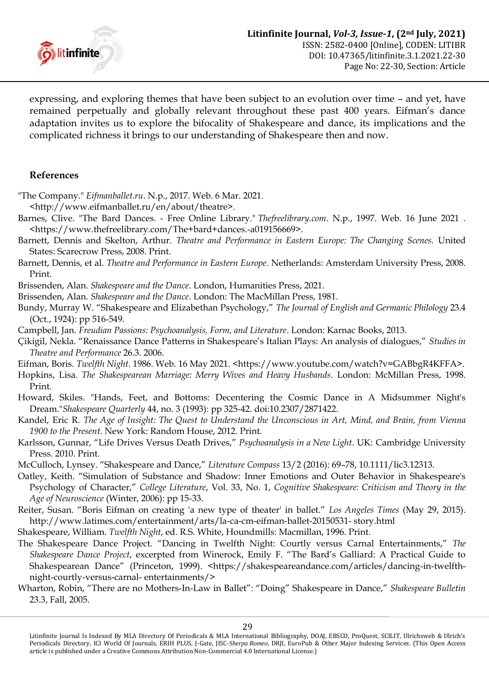

expressing, and exploring themes that have been subject to an evolution over time – and yet, have remained perpetually and globally relevant throughout these past 400 years. Eifman"s dance adaptation invites us to explore the bifocality of Shakespeare and dance, its implications and the complicated richness it brings to our understanding of Shakespeare then and now.

#### **References**

<span id="page-7-3"></span>"The Company." *Eifmanballet.ru*. N.p., 2017. Web. 6 Mar. 2021.

- <http://www.eifmanballet.ru/en/about/theatre>.
- <span id="page-7-5"></span>Barnes, Clive. "The Bard Dances. - Free Online Library." *Thefreelibrary.com*. N.p., 1997. Web. 16 June 2021 . <https://www.thefreelibrary.com/The+bard+dances.-a019156669>.
- Barnett, Dennis and Skelton, Arthur. *Theatre and Performance in Eastern Europe: The Changing Scenes.* United States: Scarecrow Press, 2008. Print.
- Barnett, Dennis, et al. *Theatre and Performance in Eastern Europe*. Netherlands: Amsterdam University Press, 2008. Print.

Brissenden, Alan. *Shakespeare and the Dance*. London, Humanities Press, 2021.

Brissenden, Alan. *Shakespeare and the Dance*. London: The MacMillan Press, 1981.

- <span id="page-7-2"></span>Bundy, Murray W. "Shakespeare and Elizabethan Psychology," *The Journal of English and Germanic Philology* 23.4 (Oct., 1924): pp 516-549.
- <span id="page-7-7"></span>Campbell, Jan. *Freudian Passions: Psychoanalysis, Form, and Literature*. London: Karnac Books, 2013.
- Çikigil, Nekla. "Renaissance Dance Patterns in Shakespeare"s Italian Plays: An analysis of dialogues," *Studies in Theatre and Performance* 26.3. 2006.

Eifman, Boris. *Twelfth Night*. 1986. Web. 16 May 2021. <https://www.youtube.com/watch?v=GABbgR4KFFA>.

- Hopkins, Lisa. *The Shakespearean Marriage: Merry Wives and Heavy Husbands*. London: McMillan Press, 1998. Print.
- <span id="page-7-1"></span>Howard, Skiles. "Hands, Feet, and Bottoms: Decentering the Cosmic Dance in A Midsummer Night's Dream."*Shakespeare Quarterly* 44, no. 3 (1993): pp 325-42. doi:10.2307/2871422.
- <span id="page-7-8"></span>Kandel, Eric R. *The Age of Insight: The Quest to Understand the Unconscious in Art, Mind, and Brain, from Vienna 1900 to the Present*. New York: Random House, 2012. Print.
- <span id="page-7-6"></span>Karlsson, Gunnar, "Life Drives Versus Death Drives," *Psychoanalysis in a New Light*. UK: Cambridge University Press. 2010. Print.
- <span id="page-7-0"></span>McCulloch, Lynsey. "Shakespeare and Dance," *Literature Compass* 13/2 (2016): 69–78, 10.1111/lic3.12313.
- Oatley, Keith. "Simulation of Substance and Shadow: Inner Emotions and Outer Behavior in Shakespeare's Psychology of Character," *College Literature*, Vol. 33, No. 1, *Cognitive Shakespeare: Criticism and Theory in the Age of Neuroscience* (Winter, 2006): pp 15-33.
- Reiter, Susan. "Boris Eifman on creating 'a new type of theater' in ballet." *Los Angeles Times* (May 29, 2015). http://www.latimes.com/entertainment/arts/la-ca-cm-eifman-ballet-20150531- story.html

Shakespeare, William. *Twelfth Night*, ed. R.S. White, Houndmills: Macmillan, 1996. Print.

- The Shakespeare Dance Project. "Dancing in Twelfth Night: Courtly versus Carnal Entertainments," *The Shakespeare Dance Project*, excerpted from Winerock, Emily F. "The Bard"s Galliard: A Practical Guide to Shakespearean Dance" (Princeton, 1999). <https://shakespeareandance.com/articles/dancing-in-twelfthnight-courtly-versus-carnal- entertainments/>
- <span id="page-7-4"></span>Wharton, Robin, "There are no Mothers-In-Law in Ballet": "Doing" Shakespeare in Dance," *Shakespeare Bulletin* 23.3, Fall, 2005.

Litinfinite Journal Is Indexed By MLA Directory Of Periodicals & MLA International Bibliography, DOAJ, EBSCO, ProQuest, SCILIT, Ulrichsweb & Ulrich's Periodicals Directory, ICI World Of Journals, ERIH PLUS, J-Gate, JISC-*Sherpa Romeo*, DRJI, EuroPub & Other Major Indexing Services. (This Open Access article is published under a Creative Commons Attribution Non-Commercial 4.0 International License.)